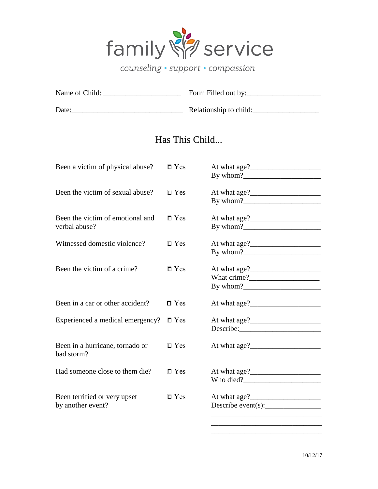$\Box$  $\Box$  $\Box$ 

 $\Box$ 

 $\Box$  $\Box$ 

 $\Box$ 

 $\Box$  $\Box$ 

 $\Box$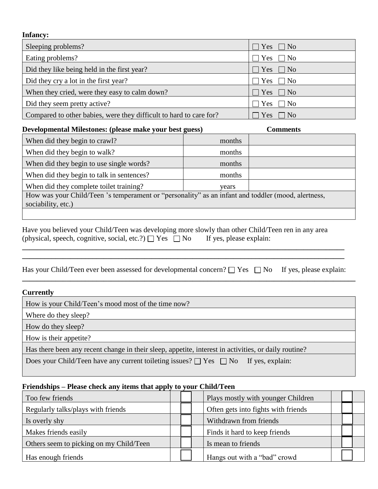

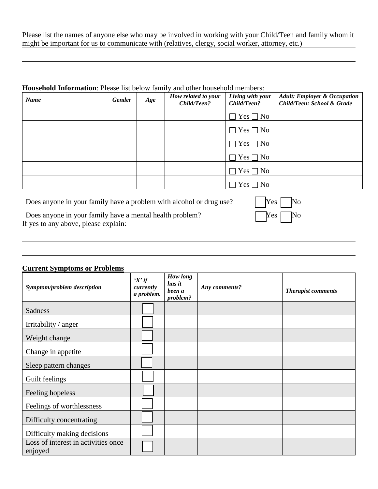

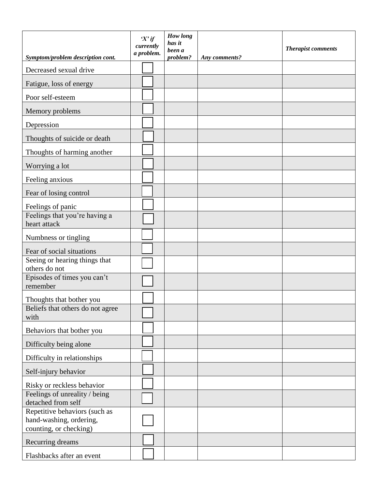$\overline{\phantom{0}}$  $\sqrt{2}$ NUUU UUUUUUUUU  $\overline{\Box}$  $\overline{\square}$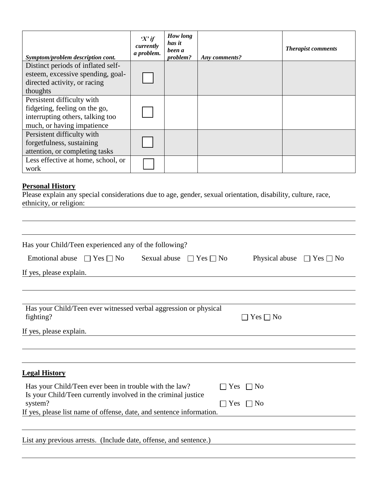$\Box$  $\Box$  $\overline{\phantom{a}}$